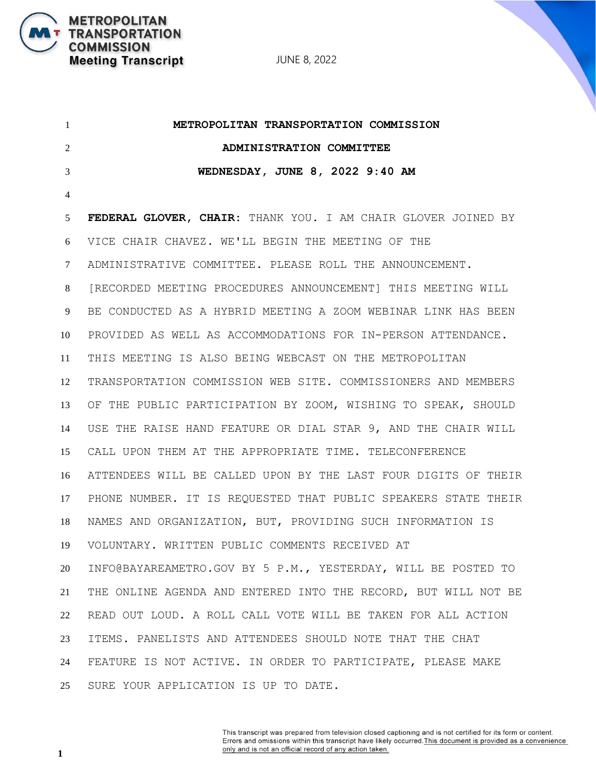JUNE 8, 2022

 **METROPOLITAN TRANSPORTATION COMMISSION ADMINISTRATION COMMITTEE WEDNESDAY, JUNE 8, 2022 9:40 AM FEDERAL GLOVER, CHAIR:** THANK YOU. I AM CHAIR GLOVER JOINED BY VICE CHAIR CHAVEZ. WE'LL BEGIN THE MEETING OF THE ADMINISTRATIVE COMMITTEE. PLEASE ROLL THE ANNOUNCEMENT. [RECORDED MEETING PROCEDURES ANNOUNCEMENT] THIS MEETING WILL BE CONDUCTED AS A HYBRID MEETING A ZOOM WEBINAR LINK HAS BEEN PROVIDED AS WELL AS ACCOMMODATIONS FOR IN-PERSON ATTENDANCE. THIS MEETING IS ALSO BEING WEBCAST ON THE METROPOLITAN TRANSPORTATION COMMISSION WEB SITE. COMMISSIONERS AND MEMBERS OF THE PUBLIC PARTICIPATION BY ZOOM, WISHING TO SPEAK, SHOULD USE THE RAISE HAND FEATURE OR DIAL STAR 9, AND THE CHAIR WILL CALL UPON THEM AT THE APPROPRIATE TIME. TELECONFERENCE ATTENDEES WILL BE CALLED UPON BY THE LAST FOUR DIGITS OF THEIR PHONE NUMBER. IT IS REQUESTED THAT PUBLIC SPEAKERS STATE THEIR NAMES AND ORGANIZATION, BUT, PROVIDING SUCH INFORMATION IS VOLUNTARY. WRITTEN PUBLIC COMMENTS RECEIVED AT INFO@BAYAREAMETRO.GOV BY 5 P.M., YESTERDAY, WILL BE POSTED TO THE ONLINE AGENDA AND ENTERED INTO THE RECORD, BUT WILL NOT BE READ OUT LOUD. A ROLL CALL VOTE WILL BE TAKEN FOR ALL ACTION ITEMS. PANELISTS AND ATTENDEES SHOULD NOTE THAT THE CHAT FEATURE IS NOT ACTIVE. IN ORDER TO PARTICIPATE, PLEASE MAKE SURE YOUR APPLICATION IS UP TO DATE.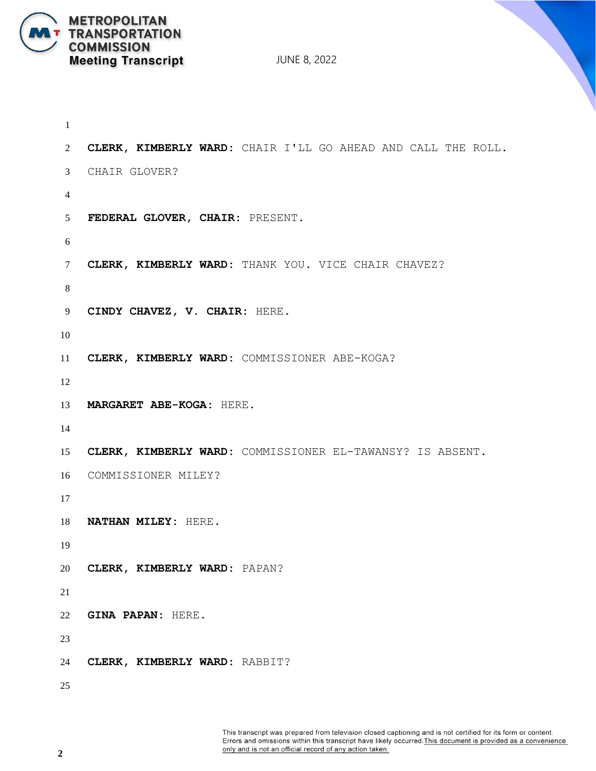

```
1
2 CLERK, KIMBERLY WARD: CHAIR I'LL GO AHEAD AND CALL THE ROLL.
3 CHAIR GLOVER?
4
5 FEDERAL GLOVER, CHAIR: PRESENT.
6
7 CLERK, KIMBERLY WARD: THANK YOU. VICE CHAIR CHAVEZ?
8
9 CINDY CHAVEZ, V. CHAIR: HERE.
10
11 CLERK, KIMBERLY WARD: COMMISSIONER ABE-KOGA?
12
13 MARGARET ABE-KOGA: HERE.
14
15 CLERK, KIMBERLY WARD: COMMISSIONER EL-TAWANSY? IS ABSENT. 
16 COMMISSIONER MILEY?
17
18 NATHAN MILEY: HERE.
19
20 CLERK, KIMBERLY WARD: PAPAN?
21
22 GINA PAPAN: HERE.
23
24 CLERK, KIMBERLY WARD: RABBIT?
25
```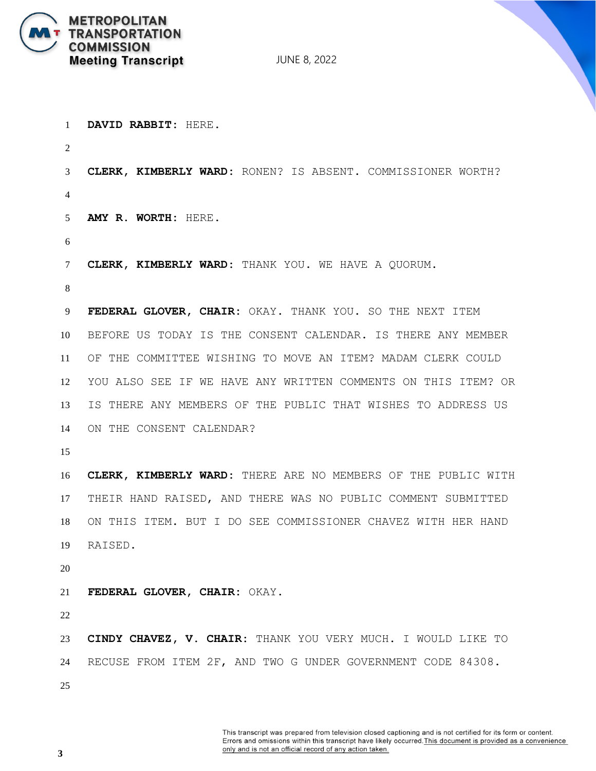

| $\mathbf{1}$   | DAVID RABBIT: HERE.                                           |
|----------------|---------------------------------------------------------------|
| $\overline{2}$ |                                                               |
| 3              | CLERK, KIMBERLY WARD: RONEN? IS ABSENT. COMMISSIONER WORTH?   |
| $\overline{4}$ |                                                               |
| 5              | AMY R. WORTH: HERE.                                           |
| 6              |                                                               |
| 7              | CLERK, KIMBERLY WARD: THANK YOU. WE HAVE A QUORUM.            |
| 8              |                                                               |
| 9              | FEDERAL GLOVER, CHAIR: OKAY. THANK YOU. SO THE NEXT ITEM      |
| 10             | BEFORE US TODAY IS THE CONSENT CALENDAR. IS THERE ANY MEMBER  |
| 11             | OF THE COMMITTEE WISHING TO MOVE AN ITEM? MADAM CLERK COULD   |
| 12             | YOU ALSO SEE IF WE HAVE ANY WRITTEN COMMENTS ON THIS ITEM? OR |
| 13             | IS THERE ANY MEMBERS OF THE PUBLIC THAT WISHES TO ADDRESS US  |
| 14             | ON THE CONSENT CALENDAR?                                      |
| 15             |                                                               |
| 16             | CLERK, KIMBERLY WARD: THERE ARE NO MEMBERS OF THE PUBLIC WITH |
| 17             | THEIR HAND RAISED, AND THERE WAS NO PUBLIC COMMENT SUBMITTED  |
| 18             | ON THIS ITEM. BUT I DO SEE COMMISSIONER CHAVEZ WITH HER HAND  |
|                | 19 RAISED.                                                    |
| 20             |                                                               |
| 21             | FEDERAL GLOVER, CHAIR: OKAY.                                  |
| 22             |                                                               |
| 23             | CINDY CHAVEZ, V. CHAIR: THANK YOU VERY MUCH. I WOULD LIKE TO  |
| 24             | RECUSE FROM ITEM 2F, AND TWO G UNDER GOVERNMENT CODE 84308.   |
| 25             |                                                               |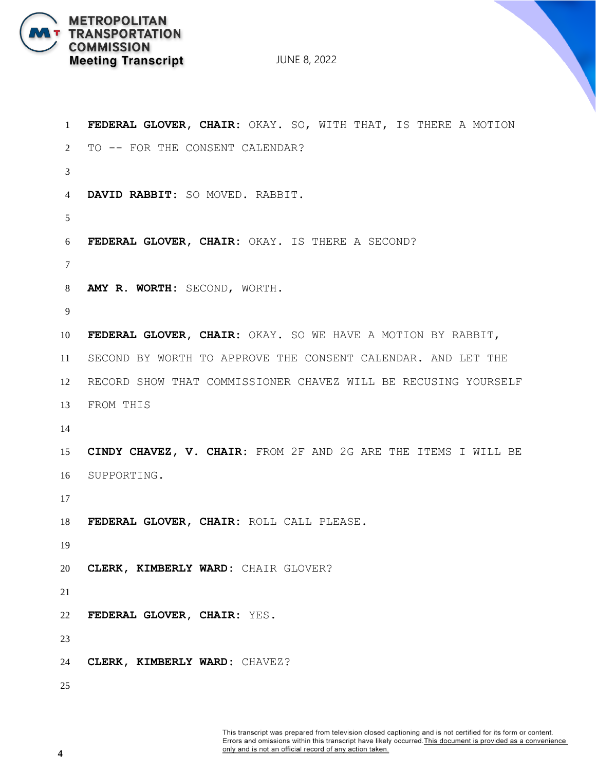

```
1 FEDERAL GLOVER, CHAIR: OKAY. SO, WITH THAT, IS THERE A MOTION
2 TO -- FOR THE CONSENT CALENDAR?
3
4 DAVID RABBIT: SO MOVED. RABBIT.
5
6 FEDERAL GLOVER, CHAIR: OKAY. IS THERE A SECOND?
7
8 AMY R. WORTH: SECOND, WORTH.
9
10 FEDERAL GLOVER, CHAIR: OKAY. SO WE HAVE A MOTION BY RABBIT,
11 SECOND BY WORTH TO APPROVE THE CONSENT CALENDAR. AND LET THE 
12 RECORD SHOW THAT COMMISSIONER CHAVEZ WILL BE RECUSING YOURSELF 
13 FROM THIS
14
15 CINDY CHAVEZ, V. CHAIR: FROM 2F AND 2G ARE THE ITEMS I WILL BE 
16 SUPPORTING.
17
18 FEDERAL GLOVER, CHAIR: ROLL CALL PLEASE.
19
20 CLERK, KIMBERLY WARD: CHAIR GLOVER?
21
22 FEDERAL GLOVER, CHAIR: YES.
23
24 CLERK, KIMBERLY WARD: CHAVEZ?
25
```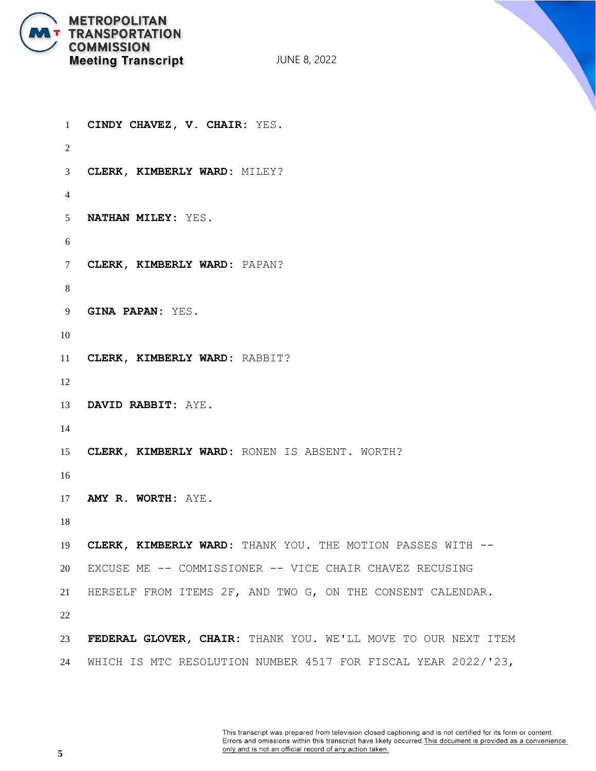

```
1 CINDY CHAVEZ, V. CHAIR: YES.
2
3 CLERK, KIMBERLY WARD: MILEY?
4
5 NATHAN MILEY: YES.
6
7 CLERK, KIMBERLY WARD: PAPAN?
8
9 GINA PAPAN: YES.
10
11 CLERK, KIMBERLY WARD: RABBIT?
12
13 DAVID RABBIT: AYE.
14
15 CLERK, KIMBERLY WARD: RONEN IS ABSENT. WORTH?
16
17 AMY R. WORTH: AYE.
18
19 CLERK, KIMBERLY WARD: THANK YOU. THE MOTION PASSES WITH --
20 EXCUSE ME -- COMMISSIONER -- VICE CHAIR CHAVEZ RECUSING
21 HERSELF FROM ITEMS 2F, AND TWO G, ON THE CONSENT CALENDAR.
22
23 FEDERAL GLOVER, CHAIR: THANK YOU. WE'LL MOVE TO OUR NEXT ITEM 
24 WHICH IS MTC RESOLUTION NUMBER 4517 FOR FISCAL YEAR 2022/'23,
```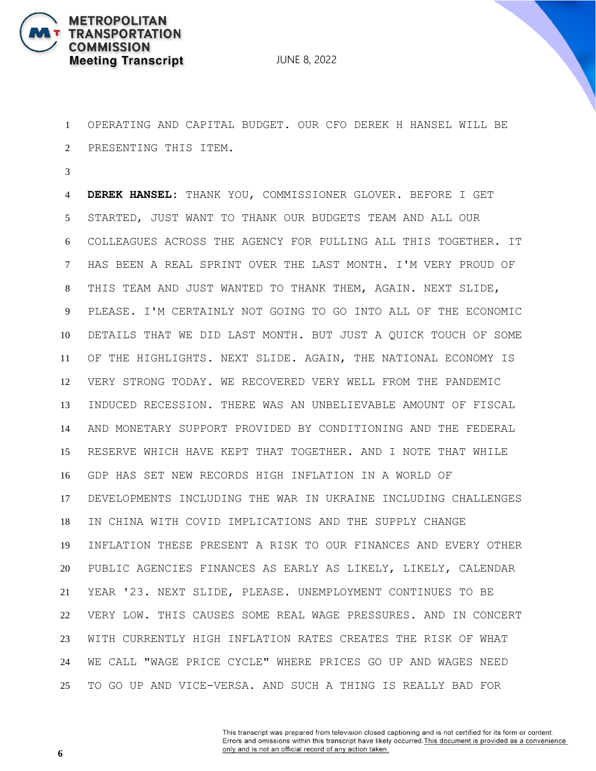

 OPERATING AND CAPITAL BUDGET. OUR CFO DEREK H HANSEL WILL BE PRESENTING THIS ITEM.

 **DEREK HANSEL:** THANK YOU, COMMISSIONER GLOVER. BEFORE I GET STARTED, JUST WANT TO THANK OUR BUDGETS TEAM AND ALL OUR COLLEAGUES ACROSS THE AGENCY FOR PULLING ALL THIS TOGETHER. IT HAS BEEN A REAL SPRINT OVER THE LAST MONTH. I'M VERY PROUD OF THIS TEAM AND JUST WANTED TO THANK THEM, AGAIN. NEXT SLIDE, PLEASE. I'M CERTAINLY NOT GOING TO GO INTO ALL OF THE ECONOMIC DETAILS THAT WE DID LAST MONTH. BUT JUST A QUICK TOUCH OF SOME OF THE HIGHLIGHTS. NEXT SLIDE. AGAIN, THE NATIONAL ECONOMY IS VERY STRONG TODAY. WE RECOVERED VERY WELL FROM THE PANDEMIC INDUCED RECESSION. THERE WAS AN UNBELIEVABLE AMOUNT OF FISCAL AND MONETARY SUPPORT PROVIDED BY CONDITIONING AND THE FEDERAL RESERVE WHICH HAVE KEPT THAT TOGETHER. AND I NOTE THAT WHILE GDP HAS SET NEW RECORDS HIGH INFLATION IN A WORLD OF DEVELOPMENTS INCLUDING THE WAR IN UKRAINE INCLUDING CHALLENGES IN CHINA WITH COVID IMPLICATIONS AND THE SUPPLY CHANGE INFLATION THESE PRESENT A RISK TO OUR FINANCES AND EVERY OTHER PUBLIC AGENCIES FINANCES AS EARLY AS LIKELY, LIKELY, CALENDAR YEAR '23. NEXT SLIDE, PLEASE. UNEMPLOYMENT CONTINUES TO BE VERY LOW. THIS CAUSES SOME REAL WAGE PRESSURES. AND IN CONCERT WITH CURRENTLY HIGH INFLATION RATES CREATES THE RISK OF WHAT WE CALL "WAGE PRICE CYCLE" WHERE PRICES GO UP AND WAGES NEED TO GO UP AND VICE-VERSA. AND SUCH A THING IS REALLY BAD FOR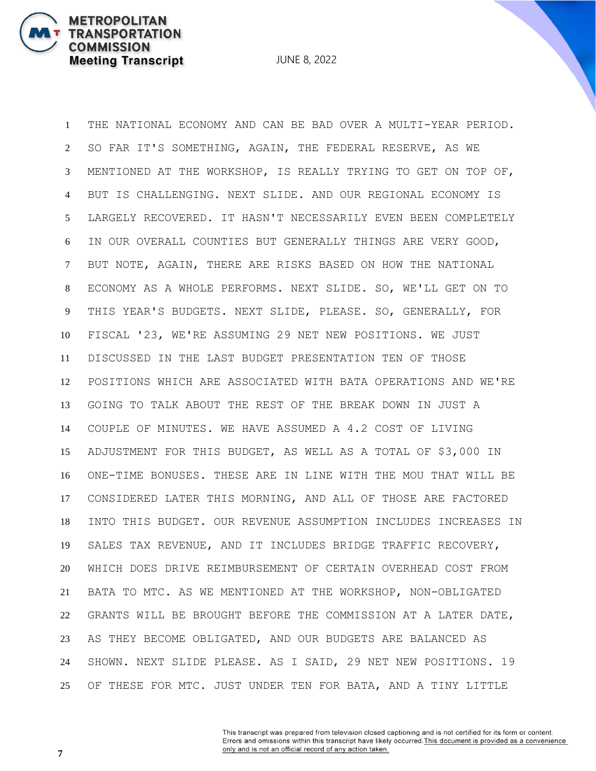**METROPOLITAN** 

**COMMISSION** 

**TRANSPORTATION** 

**Meeting Transcript** 

 THE NATIONAL ECONOMY AND CAN BE BAD OVER A MULTI-YEAR PERIOD. SO FAR IT'S SOMETHING, AGAIN, THE FEDERAL RESERVE, AS WE MENTIONED AT THE WORKSHOP, IS REALLY TRYING TO GET ON TOP OF, BUT IS CHALLENGING. NEXT SLIDE. AND OUR REGIONAL ECONOMY IS LARGELY RECOVERED. IT HASN'T NECESSARILY EVEN BEEN COMPLETELY IN OUR OVERALL COUNTIES BUT GENERALLY THINGS ARE VERY GOOD, BUT NOTE, AGAIN, THERE ARE RISKS BASED ON HOW THE NATIONAL ECONOMY AS A WHOLE PERFORMS. NEXT SLIDE. SO, WE'LL GET ON TO THIS YEAR'S BUDGETS. NEXT SLIDE, PLEASE. SO, GENERALLY, FOR FISCAL '23, WE'RE ASSUMING 29 NET NEW POSITIONS. WE JUST DISCUSSED IN THE LAST BUDGET PRESENTATION TEN OF THOSE POSITIONS WHICH ARE ASSOCIATED WITH BATA OPERATIONS AND WE'RE GOING TO TALK ABOUT THE REST OF THE BREAK DOWN IN JUST A COUPLE OF MINUTES. WE HAVE ASSUMED A 4.2 COST OF LIVING ADJUSTMENT FOR THIS BUDGET, AS WELL AS A TOTAL OF \$3,000 IN ONE-TIME BONUSES. THESE ARE IN LINE WITH THE MOU THAT WILL BE CONSIDERED LATER THIS MORNING, AND ALL OF THOSE ARE FACTORED INTO THIS BUDGET. OUR REVENUE ASSUMPTION INCLUDES INCREASES IN SALES TAX REVENUE, AND IT INCLUDES BRIDGE TRAFFIC RECOVERY, WHICH DOES DRIVE REIMBURSEMENT OF CERTAIN OVERHEAD COST FROM BATA TO MTC. AS WE MENTIONED AT THE WORKSHOP, NON-OBLIGATED GRANTS WILL BE BROUGHT BEFORE THE COMMISSION AT A LATER DATE, AS THEY BECOME OBLIGATED, AND OUR BUDGETS ARE BALANCED AS SHOWN. NEXT SLIDE PLEASE. AS I SAID, 29 NET NEW POSITIONS. 19 OF THESE FOR MTC. JUST UNDER TEN FOR BATA, AND A TINY LITTLE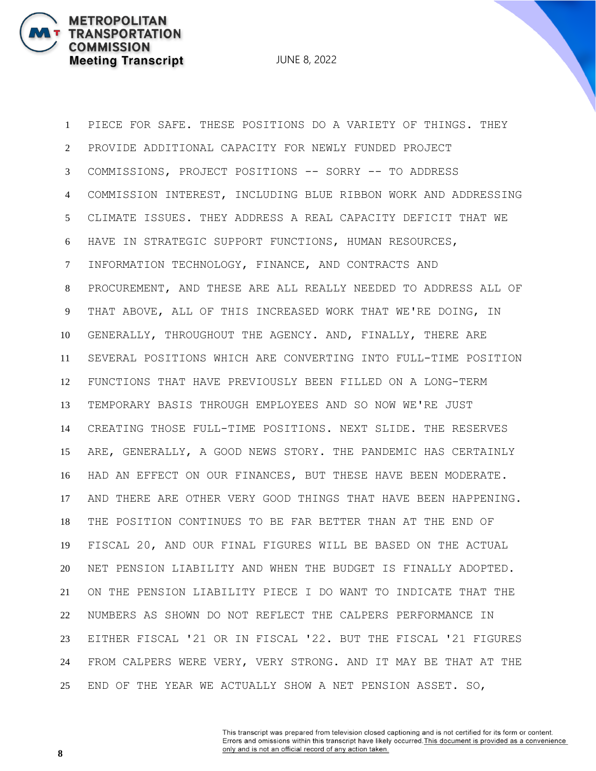**METROPOLITAN** 

**COMMISSION** 

**TRANSPORTATION** 

**Meeting Transcript** 

 PIECE FOR SAFE. THESE POSITIONS DO A VARIETY OF THINGS. THEY PROVIDE ADDITIONAL CAPACITY FOR NEWLY FUNDED PROJECT COMMISSIONS, PROJECT POSITIONS -- SORRY -- TO ADDRESS COMMISSION INTEREST, INCLUDING BLUE RIBBON WORK AND ADDRESSING CLIMATE ISSUES. THEY ADDRESS A REAL CAPACITY DEFICIT THAT WE HAVE IN STRATEGIC SUPPORT FUNCTIONS, HUMAN RESOURCES, INFORMATION TECHNOLOGY, FINANCE, AND CONTRACTS AND PROCUREMENT, AND THESE ARE ALL REALLY NEEDED TO ADDRESS ALL OF THAT ABOVE, ALL OF THIS INCREASED WORK THAT WE'RE DOING, IN GENERALLY, THROUGHOUT THE AGENCY. AND, FINALLY, THERE ARE SEVERAL POSITIONS WHICH ARE CONVERTING INTO FULL-TIME POSITION FUNCTIONS THAT HAVE PREVIOUSLY BEEN FILLED ON A LONG-TERM TEMPORARY BASIS THROUGH EMPLOYEES AND SO NOW WE'RE JUST CREATING THOSE FULL-TIME POSITIONS. NEXT SLIDE. THE RESERVES ARE, GENERALLY, A GOOD NEWS STORY. THE PANDEMIC HAS CERTAINLY HAD AN EFFECT ON OUR FINANCES, BUT THESE HAVE BEEN MODERATE. AND THERE ARE OTHER VERY GOOD THINGS THAT HAVE BEEN HAPPENING. THE POSITION CONTINUES TO BE FAR BETTER THAN AT THE END OF FISCAL 20, AND OUR FINAL FIGURES WILL BE BASED ON THE ACTUAL NET PENSION LIABILITY AND WHEN THE BUDGET IS FINALLY ADOPTED. ON THE PENSION LIABILITY PIECE I DO WANT TO INDICATE THAT THE NUMBERS AS SHOWN DO NOT REFLECT THE CALPERS PERFORMANCE IN EITHER FISCAL '21 OR IN FISCAL '22. BUT THE FISCAL '21 FIGURES FROM CALPERS WERE VERY, VERY STRONG. AND IT MAY BE THAT AT THE END OF THE YEAR WE ACTUALLY SHOW A NET PENSION ASSET. SO,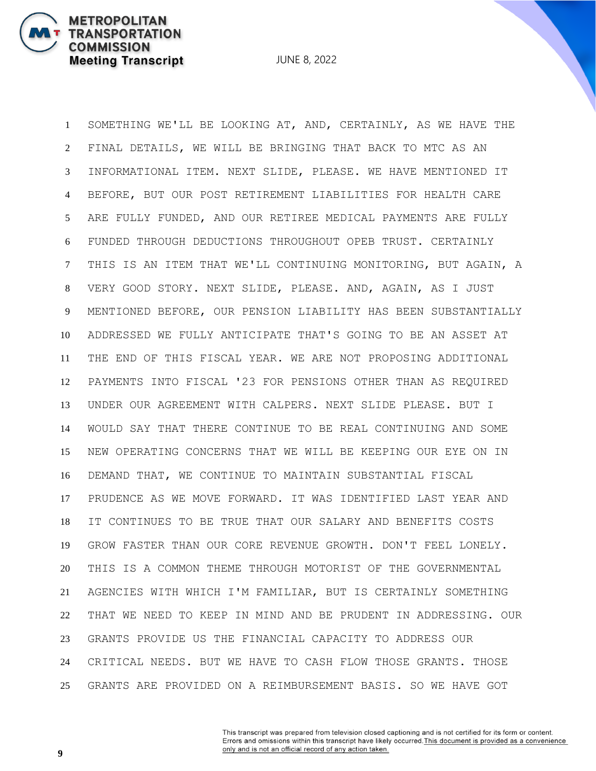**METROPOLITAN** 

**COMMISSION** 

**TRANSPORTATION** 

**Meeting Transcript** 

 SOMETHING WE'LL BE LOOKING AT, AND, CERTAINLY, AS WE HAVE THE FINAL DETAILS, WE WILL BE BRINGING THAT BACK TO MTC AS AN INFORMATIONAL ITEM. NEXT SLIDE, PLEASE. WE HAVE MENTIONED IT BEFORE, BUT OUR POST RETIREMENT LIABILITIES FOR HEALTH CARE ARE FULLY FUNDED, AND OUR RETIREE MEDICAL PAYMENTS ARE FULLY FUNDED THROUGH DEDUCTIONS THROUGHOUT OPEB TRUST. CERTAINLY THIS IS AN ITEM THAT WE'LL CONTINUING MONITORING, BUT AGAIN, A VERY GOOD STORY. NEXT SLIDE, PLEASE. AND, AGAIN, AS I JUST MENTIONED BEFORE, OUR PENSION LIABILITY HAS BEEN SUBSTANTIALLY ADDRESSED WE FULLY ANTICIPATE THAT'S GOING TO BE AN ASSET AT THE END OF THIS FISCAL YEAR. WE ARE NOT PROPOSING ADDITIONAL PAYMENTS INTO FISCAL '23 FOR PENSIONS OTHER THAN AS REQUIRED UNDER OUR AGREEMENT WITH CALPERS. NEXT SLIDE PLEASE. BUT I WOULD SAY THAT THERE CONTINUE TO BE REAL CONTINUING AND SOME NEW OPERATING CONCERNS THAT WE WILL BE KEEPING OUR EYE ON IN DEMAND THAT, WE CONTINUE TO MAINTAIN SUBSTANTIAL FISCAL PRUDENCE AS WE MOVE FORWARD. IT WAS IDENTIFIED LAST YEAR AND IT CONTINUES TO BE TRUE THAT OUR SALARY AND BENEFITS COSTS GROW FASTER THAN OUR CORE REVENUE GROWTH. DON'T FEEL LONELY. THIS IS A COMMON THEME THROUGH MOTORIST OF THE GOVERNMENTAL AGENCIES WITH WHICH I'M FAMILIAR, BUT IS CERTAINLY SOMETHING THAT WE NEED TO KEEP IN MIND AND BE PRUDENT IN ADDRESSING. OUR GRANTS PROVIDE US THE FINANCIAL CAPACITY TO ADDRESS OUR CRITICAL NEEDS. BUT WE HAVE TO CASH FLOW THOSE GRANTS. THOSE GRANTS ARE PROVIDED ON A REIMBURSEMENT BASIS. SO WE HAVE GOT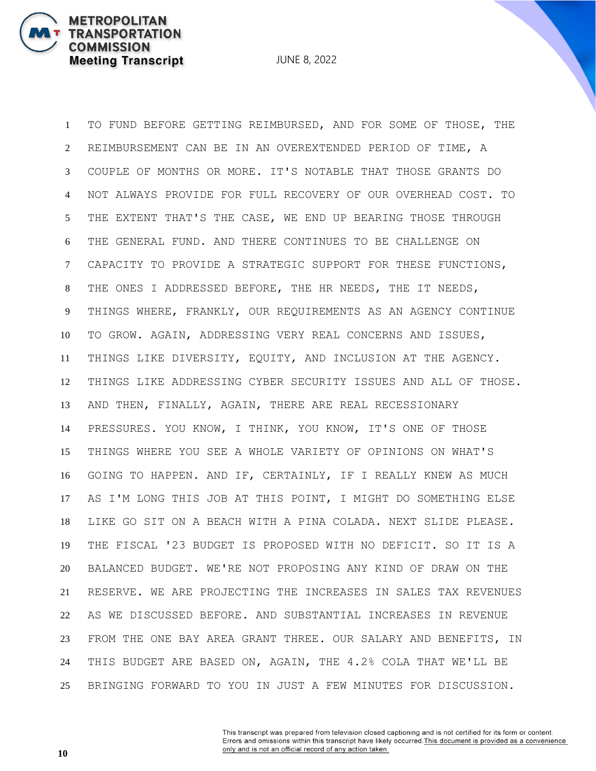JUNE 8, 2022

 TO FUND BEFORE GETTING REIMBURSED, AND FOR SOME OF THOSE, THE REIMBURSEMENT CAN BE IN AN OVEREXTENDED PERIOD OF TIME, A COUPLE OF MONTHS OR MORE. IT'S NOTABLE THAT THOSE GRANTS DO NOT ALWAYS PROVIDE FOR FULL RECOVERY OF OUR OVERHEAD COST. TO THE EXTENT THAT'S THE CASE, WE END UP BEARING THOSE THROUGH THE GENERAL FUND. AND THERE CONTINUES TO BE CHALLENGE ON CAPACITY TO PROVIDE A STRATEGIC SUPPORT FOR THESE FUNCTIONS, THE ONES I ADDRESSED BEFORE, THE HR NEEDS, THE IT NEEDS, THINGS WHERE, FRANKLY, OUR REQUIREMENTS AS AN AGENCY CONTINUE TO GROW. AGAIN, ADDRESSING VERY REAL CONCERNS AND ISSUES, THINGS LIKE DIVERSITY, EQUITY, AND INCLUSION AT THE AGENCY. THINGS LIKE ADDRESSING CYBER SECURITY ISSUES AND ALL OF THOSE. AND THEN, FINALLY, AGAIN, THERE ARE REAL RECESSIONARY PRESSURES. YOU KNOW, I THINK, YOU KNOW, IT'S ONE OF THOSE THINGS WHERE YOU SEE A WHOLE VARIETY OF OPINIONS ON WHAT'S GOING TO HAPPEN. AND IF, CERTAINLY, IF I REALLY KNEW AS MUCH AS I'M LONG THIS JOB AT THIS POINT, I MIGHT DO SOMETHING ELSE LIKE GO SIT ON A BEACH WITH A PINA COLADA. NEXT SLIDE PLEASE. THE FISCAL '23 BUDGET IS PROPOSED WITH NO DEFICIT. SO IT IS A BALANCED BUDGET. WE'RE NOT PROPOSING ANY KIND OF DRAW ON THE RESERVE. WE ARE PROJECTING THE INCREASES IN SALES TAX REVENUES AS WE DISCUSSED BEFORE. AND SUBSTANTIAL INCREASES IN REVENUE FROM THE ONE BAY AREA GRANT THREE. OUR SALARY AND BENEFITS, IN THIS BUDGET ARE BASED ON, AGAIN, THE 4.2% COLA THAT WE'LL BE BRINGING FORWARD TO YOU IN JUST A FEW MINUTES FOR DISCUSSION.

> This transcript was prepared from television closed captioning and is not certified for its form or content. Errors and omissions within this transcript have likely occurred. This document is provided as a convenience only and is not an official record of any action taken.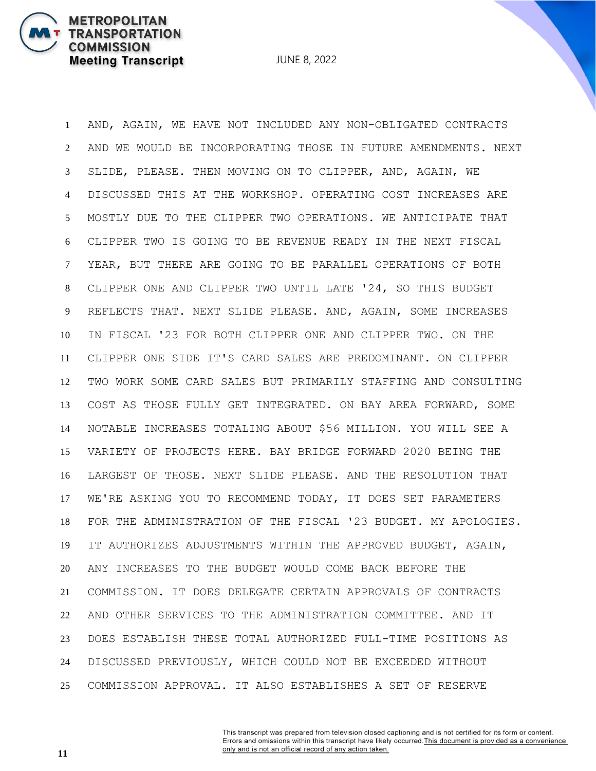**METROPOLITAN** 

**COMMISSION** 

**TRANSPORTATION** 

**Meeting Transcript** 

 AND, AGAIN, WE HAVE NOT INCLUDED ANY NON-OBLIGATED CONTRACTS AND WE WOULD BE INCORPORATING THOSE IN FUTURE AMENDMENTS. NEXT SLIDE, PLEASE. THEN MOVING ON TO CLIPPER, AND, AGAIN, WE DISCUSSED THIS AT THE WORKSHOP. OPERATING COST INCREASES ARE MOSTLY DUE TO THE CLIPPER TWO OPERATIONS. WE ANTICIPATE THAT CLIPPER TWO IS GOING TO BE REVENUE READY IN THE NEXT FISCAL YEAR, BUT THERE ARE GOING TO BE PARALLEL OPERATIONS OF BOTH CLIPPER ONE AND CLIPPER TWO UNTIL LATE '24, SO THIS BUDGET REFLECTS THAT. NEXT SLIDE PLEASE. AND, AGAIN, SOME INCREASES IN FISCAL '23 FOR BOTH CLIPPER ONE AND CLIPPER TWO. ON THE CLIPPER ONE SIDE IT'S CARD SALES ARE PREDOMINANT. ON CLIPPER TWO WORK SOME CARD SALES BUT PRIMARILY STAFFING AND CONSULTING COST AS THOSE FULLY GET INTEGRATED. ON BAY AREA FORWARD, SOME NOTABLE INCREASES TOTALING ABOUT \$56 MILLION. YOU WILL SEE A VARIETY OF PROJECTS HERE. BAY BRIDGE FORWARD 2020 BEING THE LARGEST OF THOSE. NEXT SLIDE PLEASE. AND THE RESOLUTION THAT WE'RE ASKING YOU TO RECOMMEND TODAY, IT DOES SET PARAMETERS FOR THE ADMINISTRATION OF THE FISCAL '23 BUDGET. MY APOLOGIES. IT AUTHORIZES ADJUSTMENTS WITHIN THE APPROVED BUDGET, AGAIN, ANY INCREASES TO THE BUDGET WOULD COME BACK BEFORE THE COMMISSION. IT DOES DELEGATE CERTAIN APPROVALS OF CONTRACTS AND OTHER SERVICES TO THE ADMINISTRATION COMMITTEE. AND IT DOES ESTABLISH THESE TOTAL AUTHORIZED FULL-TIME POSITIONS AS DISCUSSED PREVIOUSLY, WHICH COULD NOT BE EXCEEDED WITHOUT COMMISSION APPROVAL. IT ALSO ESTABLISHES A SET OF RESERVE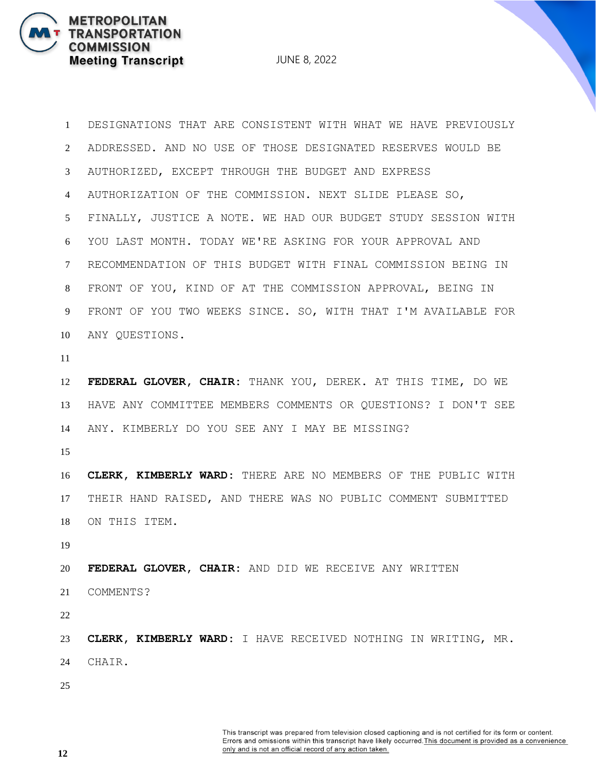JUNE 8, 2022

 DESIGNATIONS THAT ARE CONSISTENT WITH WHAT WE HAVE PREVIOUSLY ADDRESSED. AND NO USE OF THOSE DESIGNATED RESERVES WOULD BE AUTHORIZED, EXCEPT THROUGH THE BUDGET AND EXPRESS AUTHORIZATION OF THE COMMISSION. NEXT SLIDE PLEASE SO, FINALLY, JUSTICE A NOTE. WE HAD OUR BUDGET STUDY SESSION WITH YOU LAST MONTH. TODAY WE'RE ASKING FOR YOUR APPROVAL AND RECOMMENDATION OF THIS BUDGET WITH FINAL COMMISSION BEING IN FRONT OF YOU, KIND OF AT THE COMMISSION APPROVAL, BEING IN FRONT OF YOU TWO WEEKS SINCE. SO, WITH THAT I'M AVAILABLE FOR ANY QUESTIONS.

 **FEDERAL GLOVER, CHAIR:** THANK YOU, DEREK. AT THIS TIME, DO WE HAVE ANY COMMITTEE MEMBERS COMMENTS OR QUESTIONS? I DON'T SEE ANY. KIMBERLY DO YOU SEE ANY I MAY BE MISSING?

 **CLERK, KIMBERLY WARD:** THERE ARE NO MEMBERS OF THE PUBLIC WITH THEIR HAND RAISED, AND THERE WAS NO PUBLIC COMMENT SUBMITTED ON THIS ITEM.

 **FEDERAL GLOVER, CHAIR:** AND DID WE RECEIVE ANY WRITTEN COMMENTS?

 **CLERK, KIMBERLY WARD:** I HAVE RECEIVED NOTHING IN WRITING, MR. CHAIR.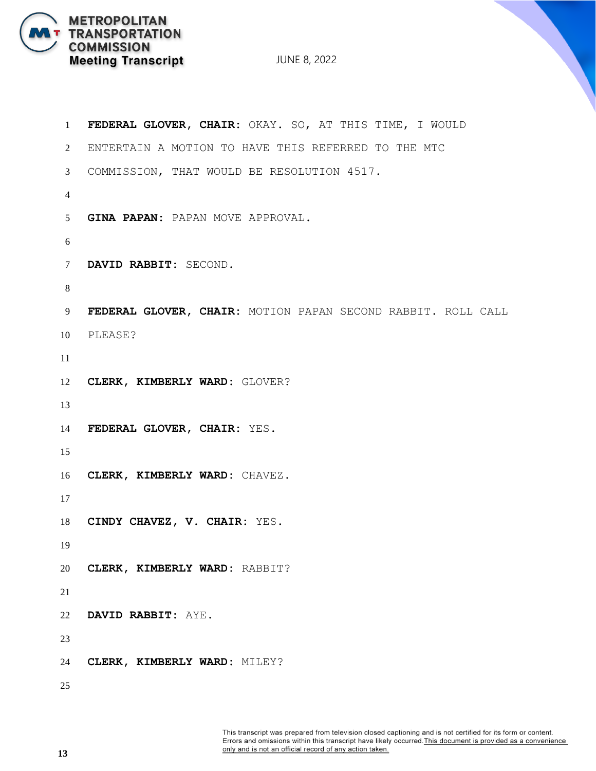

| $\mathbf{1}$   | FEDERAL GLOVER, CHAIR: OKAY. SO, AT THIS TIME, I WOULD       |
|----------------|--------------------------------------------------------------|
| 2              | ENTERTAIN A MOTION TO HAVE THIS REFERRED TO THE MTC          |
| 3              | COMMISSION, THAT WOULD BE RESOLUTION 4517.                   |
| $\overline{4}$ |                                                              |
| 5 <sup>5</sup> | GINA PAPAN: PAPAN MOVE APPROVAL.                             |
| 6              |                                                              |
| $\tau$         | DAVID RABBIT: SECOND.                                        |
| 8              |                                                              |
| 9              | FEDERAL GLOVER, CHAIR: MOTION PAPAN SECOND RABBIT. ROLL CALL |
| 10             | PLEASE?                                                      |
| 11             |                                                              |
| 12             | CLERK, KIMBERLY WARD: GLOVER?                                |
| 13             |                                                              |
| 14             | FEDERAL GLOVER, CHAIR: YES.                                  |
| 15             |                                                              |
| 16             | CLERK, KIMBERLY WARD: CHAVEZ.                                |
| 17             |                                                              |
| 18             | CINDY CHAVEZ, V. CHAIR: YES.                                 |
| 19             |                                                              |
| 20             | CLERK, KIMBERLY WARD: RABBIT?                                |
| 21             |                                                              |
| 22             | DAVID RABBIT: AYE.                                           |
| 23             |                                                              |
| 24             | CLERK, KIMBERLY WARD: MILEY?                                 |
| 25             |                                                              |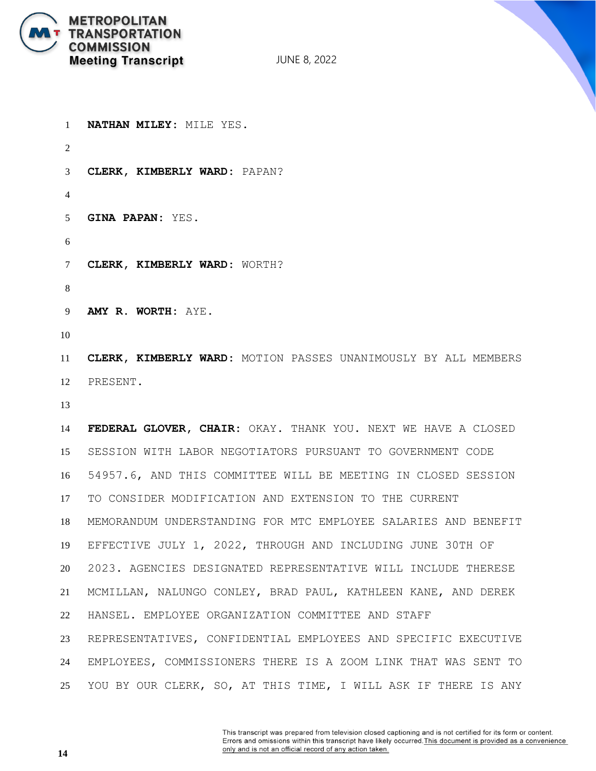

**NATHAN MILEY:** MILE YES.

JUNE 8, 2022

 **CLERK, KIMBERLY WARD:** PAPAN? **GINA PAPAN:** YES. **CLERK, KIMBERLY WARD:** WORTH? **AMY R. WORTH:** AYE. **CLERK, KIMBERLY WARD:** MOTION PASSES UNANIMOUSLY BY ALL MEMBERS PRESENT. **FEDERAL GLOVER, CHAIR:** OKAY. THANK YOU. NEXT WE HAVE A CLOSED SESSION WITH LABOR NEGOTIATORS PURSUANT TO GOVERNMENT CODE 54957.6, AND THIS COMMITTEE WILL BE MEETING IN CLOSED SESSION TO CONSIDER MODIFICATION AND EXTENSION TO THE CURRENT MEMORANDUM UNDERSTANDING FOR MTC EMPLOYEE SALARIES AND BENEFIT EFFECTIVE JULY 1, 2022, THROUGH AND INCLUDING JUNE 30TH OF 2023. AGENCIES DESIGNATED REPRESENTATIVE WILL INCLUDE THERESE MCMILLAN, NALUNGO CONLEY, BRAD PAUL, KATHLEEN KANE, AND DEREK HANSEL. EMPLOYEE ORGANIZATION COMMITTEE AND STAFF REPRESENTATIVES, CONFIDENTIAL EMPLOYEES AND SPECIFIC EXECUTIVE EMPLOYEES, COMMISSIONERS THERE IS A ZOOM LINK THAT WAS SENT TO YOU BY OUR CLERK, SO, AT THIS TIME, I WILL ASK IF THERE IS ANY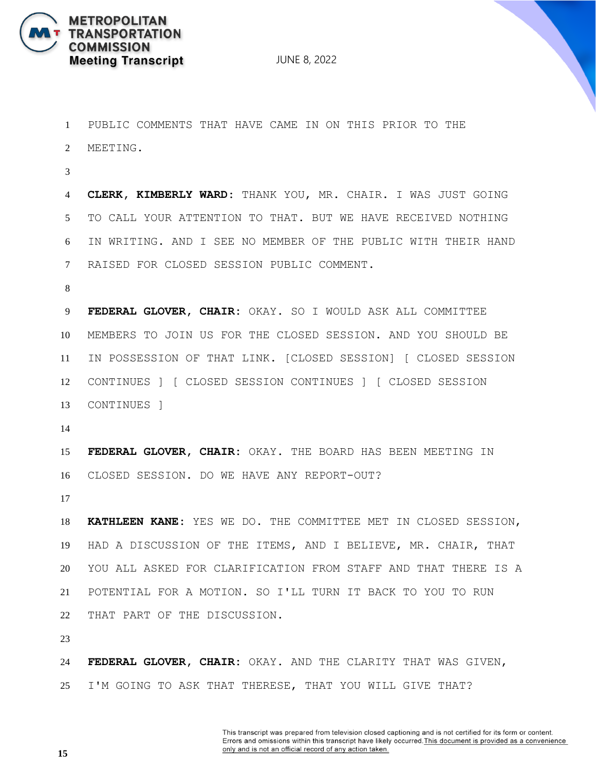

 PUBLIC COMMENTS THAT HAVE CAME IN ON THIS PRIOR TO THE MEETING. **CLERK, KIMBERLY WARD:** THANK YOU, MR. CHAIR. I WAS JUST GOING TO CALL YOUR ATTENTION TO THAT. BUT WE HAVE RECEIVED NOTHING IN WRITING. AND I SEE NO MEMBER OF THE PUBLIC WITH THEIR HAND RAISED FOR CLOSED SESSION PUBLIC COMMENT. **FEDERAL GLOVER, CHAIR:** OKAY. SO I WOULD ASK ALL COMMITTEE MEMBERS TO JOIN US FOR THE CLOSED SESSION. AND YOU SHOULD BE IN POSSESSION OF THAT LINK. [CLOSED SESSION] [ CLOSED SESSION CONTINUES ] [ CLOSED SESSION CONTINUES ] [ CLOSED SESSION CONTINUES ] **FEDERAL GLOVER, CHAIR:** OKAY. THE BOARD HAS BEEN MEETING IN CLOSED SESSION. DO WE HAVE ANY REPORT-OUT? **KATHLEEN KANE:** YES WE DO. THE COMMITTEE MET IN CLOSED SESSION, HAD A DISCUSSION OF THE ITEMS, AND I BELIEVE, MR. CHAIR, THAT YOU ALL ASKED FOR CLARIFICATION FROM STAFF AND THAT THERE IS A POTENTIAL FOR A MOTION. SO I'LL TURN IT BACK TO YOU TO RUN THAT PART OF THE DISCUSSION. **FEDERAL GLOVER, CHAIR:** OKAY. AND THE CLARITY THAT WAS GIVEN, I'M GOING TO ASK THAT THERESE, THAT YOU WILL GIVE THAT?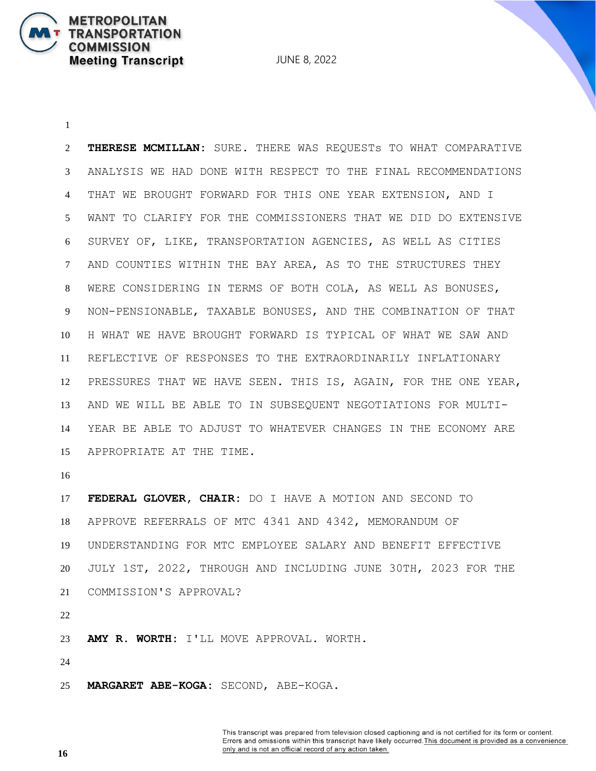**THERESE MCMILLAN:** SURE. THERE WAS REQUESTs TO WHAT COMPARATIVE ANALYSIS WE HAD DONE WITH RESPECT TO THE FINAL RECOMMENDATIONS THAT WE BROUGHT FORWARD FOR THIS ONE YEAR EXTENSION, AND I WANT TO CLARIFY FOR THE COMMISSIONERS THAT WE DID DO EXTENSIVE SURVEY OF, LIKE, TRANSPORTATION AGENCIES, AS WELL AS CITIES AND COUNTIES WITHIN THE BAY AREA, AS TO THE STRUCTURES THEY WERE CONSIDERING IN TERMS OF BOTH COLA, AS WELL AS BONUSES, NON-PENSIONABLE, TAXABLE BONUSES, AND THE COMBINATION OF THAT H WHAT WE HAVE BROUGHT FORWARD IS TYPICAL OF WHAT WE SAW AND REFLECTIVE OF RESPONSES TO THE EXTRAORDINARILY INFLATIONARY PRESSURES THAT WE HAVE SEEN. THIS IS, AGAIN, FOR THE ONE YEAR, AND WE WILL BE ABLE TO IN SUBSEQUENT NEGOTIATIONS FOR MULTI- YEAR BE ABLE TO ADJUST TO WHATEVER CHANGES IN THE ECONOMY ARE APPROPRIATE AT THE TIME. 

 **FEDERAL GLOVER, CHAIR:** DO I HAVE A MOTION AND SECOND TO APPROVE REFERRALS OF MTC 4341 AND 4342, MEMORANDUM OF UNDERSTANDING FOR MTC EMPLOYEE SALARY AND BENEFIT EFFECTIVE JULY 1ST, 2022, THROUGH AND INCLUDING JUNE 30TH, 2023 FOR THE COMMISSION'S APPROVAL?

**METROPOLITAN** 

**COMMISSION** 

**TRANSPORTATION** 

**Meeting Transcript** 

**AMY R. WORTH:** I'LL MOVE APPROVAL. WORTH.

**MARGARET ABE-KOGA:** SECOND, ABE-KOGA.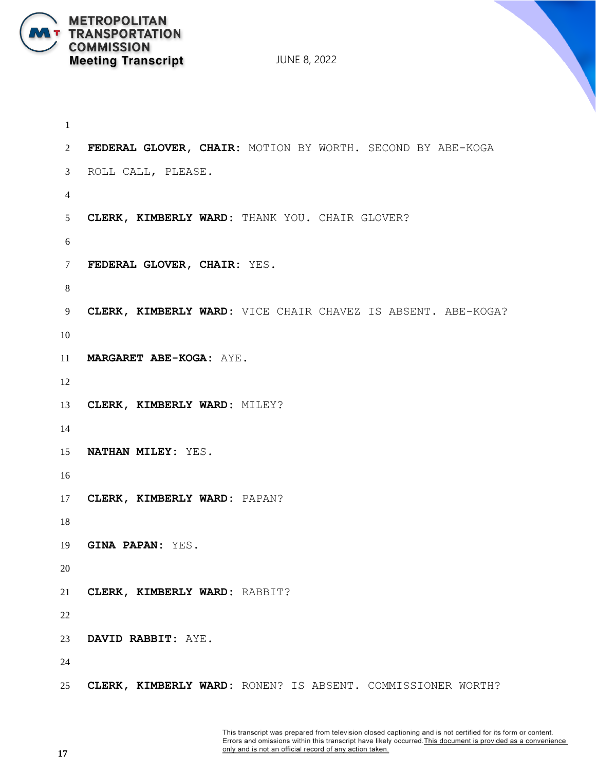

 **FEDERAL GLOVER, CHAIR:** MOTION BY WORTH. SECOND BY ABE-KOGA ROLL CALL, PLEASE. **CLERK, KIMBERLY WARD:** THANK YOU. CHAIR GLOVER? **FEDERAL GLOVER, CHAIR:** YES. **CLERK, KIMBERLY WARD:** VICE CHAIR CHAVEZ IS ABSENT. ABE-KOGA? **MARGARET ABE-KOGA:** AYE. **CLERK, KIMBERLY WARD:** MILEY? **NATHAN MILEY:** YES. **CLERK, KIMBERLY WARD:** PAPAN? **GINA PAPAN:** YES. **CLERK, KIMBERLY WARD:** RABBIT? **DAVID RABBIT:** AYE. **CLERK, KIMBERLY WARD:** RONEN? IS ABSENT. COMMISSIONER WORTH?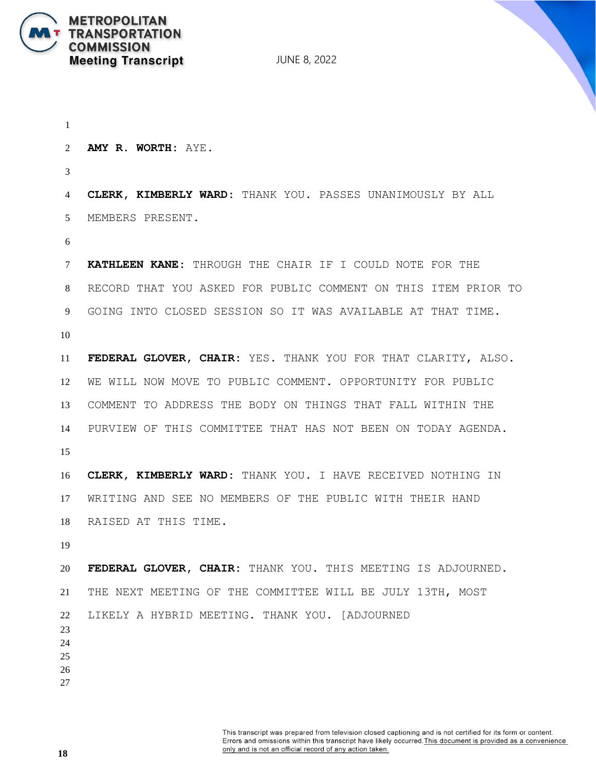

 **AMY R. WORTH:** AYE. **CLERK, KIMBERLY WARD:** THANK YOU. PASSES UNANIMOUSLY BY ALL MEMBERS PRESENT. **KATHLEEN KANE:** THROUGH THE CHAIR IF I COULD NOTE FOR THE RECORD THAT YOU ASKED FOR PUBLIC COMMENT ON THIS ITEM PRIOR TO GOING INTO CLOSED SESSION SO IT WAS AVAILABLE AT THAT TIME. **FEDERAL GLOVER, CHAIR:** YES. THANK YOU FOR THAT CLARITY, ALSO. WE WILL NOW MOVE TO PUBLIC COMMENT. OPPORTUNITY FOR PUBLIC COMMENT TO ADDRESS THE BODY ON THINGS THAT FALL WITHIN THE PURVIEW OF THIS COMMITTEE THAT HAS NOT BEEN ON TODAY AGENDA. **CLERK, KIMBERLY WARD:** THANK YOU. I HAVE RECEIVED NOTHING IN WRITING AND SEE NO MEMBERS OF THE PUBLIC WITH THEIR HAND RAISED AT THIS TIME. **FEDERAL GLOVER, CHAIR:** THANK YOU. THIS MEETING IS ADJOURNED. THE NEXT MEETING OF THE COMMITTEE WILL BE JULY 13TH, MOST LIKELY A HYBRID MEETING. THANK YOU. [ADJOURNED